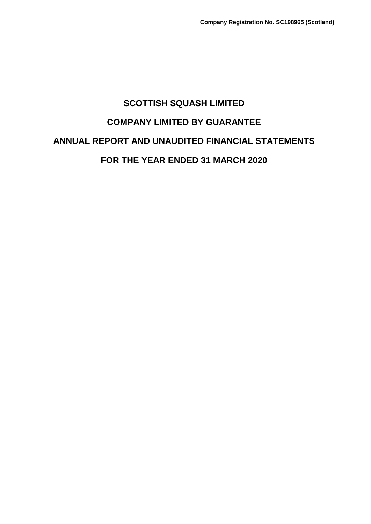# **SCOTTISH SQUASH LIMITED COMPANY LIMITED BY GUARANTEE ANNUAL REPORT AND UNAUDITED FINANCIAL STATEMENTS FOR THE YEAR ENDED 31 MARCH 2020**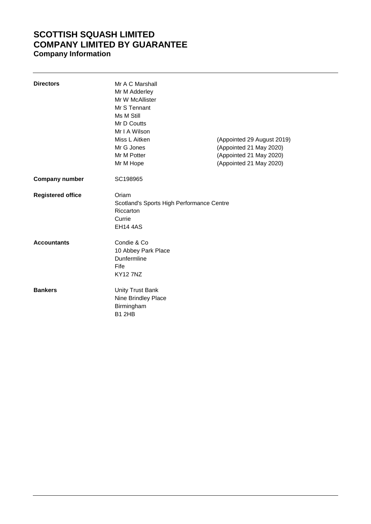# **SCOTTISH SQUASH LIMITED COMPANY LIMITED BY GUARANTEE Company Information**

| <b>Directors</b>         | Mr A C Marshall<br>Mr M Adderley<br>Mr W McAllister<br>Mr S Tennant<br>Ms M Still<br>Mr D Coutts<br>Mr I A Wilson<br>Miss L Aitken<br>Mr G Jones<br>Mr M Potter<br>Mr M Hope | (Appointed 29 August 2019)<br>(Appointed 21 May 2020)<br>(Appointed 21 May 2020)<br>(Appointed 21 May 2020) |
|--------------------------|------------------------------------------------------------------------------------------------------------------------------------------------------------------------------|-------------------------------------------------------------------------------------------------------------|
| <b>Company number</b>    | SC198965                                                                                                                                                                     |                                                                                                             |
| <b>Registered office</b> | Oriam<br>Scotland's Sports High Performance Centre<br>Riccarton<br>Currie<br><b>EH14 4AS</b>                                                                                 |                                                                                                             |
| <b>Accountants</b>       | Condie & Co<br>10 Abbey Park Place<br>Dunfermline<br>Fife<br><b>KY127NZ</b>                                                                                                  |                                                                                                             |
| <b>Bankers</b>           | <b>Unity Trust Bank</b><br>Nine Brindley Place<br>Birmingham<br><b>B1 2HB</b>                                                                                                |                                                                                                             |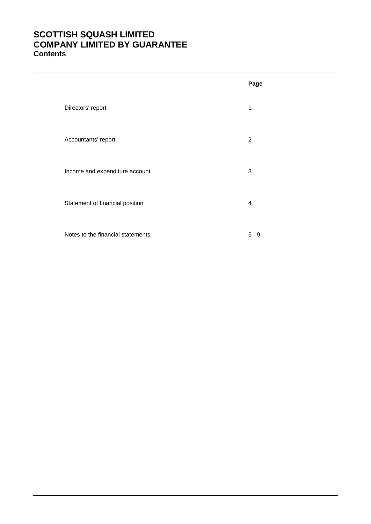# **SCOTTISH SQUASH LIMITED COMPANY LIMITED BY GUARANTEE Contents**

|                                   | Page           |
|-----------------------------------|----------------|
| Directors' report                 | 1              |
| Accountants' report               | $\overline{2}$ |
| Income and expenditure account    | 3              |
| Statement of financial position   | 4              |
| Notes to the financial statements | $5 - 9$        |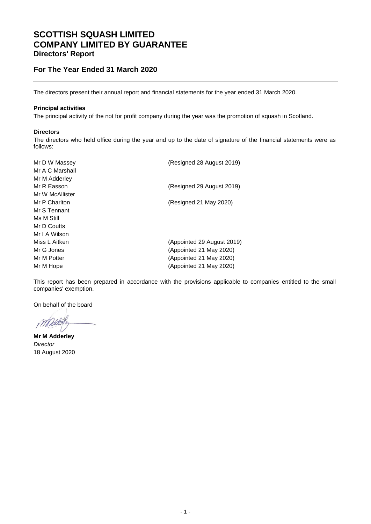### **SCOTTISH SQUASH LIMITED COMPANY LIMITED BY GUARANTEE Directors' Report**

### **For The Year Ended 31 March 2020**

The directors present their annual report and financial statements for the year ended 31 March 2020.

#### **Principal activities**

The principal activity of the not for profit company during the year was the promotion of squash in Scotland.

#### **Directors**

The directors who held office during the year and up to the date of signature of the financial statements were as follows:

| Mr D W Massey<br>Mr A C Marshall | (Resigned 28 August 2019)  |
|----------------------------------|----------------------------|
| Mr M Adderley                    |                            |
| Mr R Easson                      | (Resigned 29 August 2019)  |
| Mr W McAllister                  |                            |
| Mr P Charlton                    | (Resigned 21 May 2020)     |
| Mr S Tennant                     |                            |
| Ms M Still                       |                            |
| Mr D Coutts                      |                            |
| Mr I A Wilson                    |                            |
| Miss L Aitken                    | (Appointed 29 August 2019) |
| Mr G Jones                       | (Appointed 21 May 2020)    |
| Mr M Potter                      | (Appointed 21 May 2020)    |
| Mr M Hope                        | (Appointed 21 May 2020)    |

This report has been prepared in accordance with the provisions applicable to companies entitled to the small companies' exemption.

On behalf of the board

**Mr M Adderley** *Director* 18 August 2020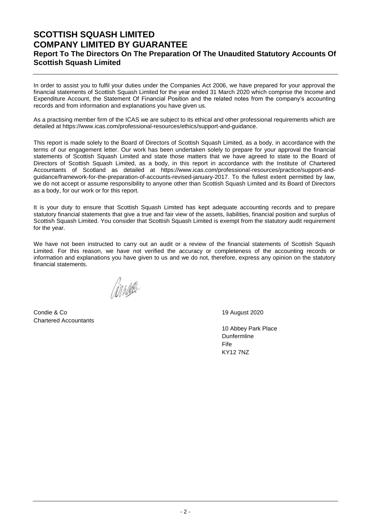### **SCOTTISH SQUASH LIMITED COMPANY LIMITED BY GUARANTEE Report To The Directors On The Preparation Of The Unaudited Statutory Accounts Of Scottish Squash Limited**

In order to assist you to fulfil your duties under the Companies Act 2006, we have prepared for your approval the financial statements of Scottish Squash Limited for the year ended 31 March 2020 which comprise the Income and Expenditure Account, the Statement Of Financial Position and the related notes from the company's accounting records and from information and explanations you have given us.

As a practising member firm of the ICAS we are subject to its ethical and other professional requirements which are detailed at https://www.icas.com/professional-resources/ethics/support-and-guidance.

This report is made solely to the Board of Directors of Scottish Squash Limited, as a body, in accordance with the terms of our engagement letter. Our work has been undertaken solely to prepare for your approval the financial statements of Scottish Squash Limited and state those matters that we have agreed to state to the Board of Directors of Scottish Squash Limited, as a body, in this report in accordance with the Institute of Chartered Accountants of Scotland as detailed at https://www.icas.com/professional-resources/practice/support-andguidance/framework-for-the-preparation-of-accounts-revised-january-2017. To the fullest extent permitted by law, we do not accept or assume responsibility to anyone other than Scottish Squash Limited and its Board of Directors as a body, for our work or for this report.

It is your duty to ensure that Scottish Squash Limited has kept adequate accounting records and to prepare statutory financial statements that give a true and fair view of the assets, liabilities, financial position and surplus of Scottish Squash Limited. You consider that Scottish Squash Limited is exempt from the statutory audit requirement for the year.

We have not been instructed to carry out an audit or a review of the financial statements of Scottish Squash Limited. For this reason, we have not verified the accuracy or completeness of the accounting records or information and explanations you have given to us and we do not, therefore, express any opinion on the statutory financial statements.

Condie & Co 200 August 2020 Chartered Accountants

10 Abbey Park Place Dunfermline Fife KY12 7NZ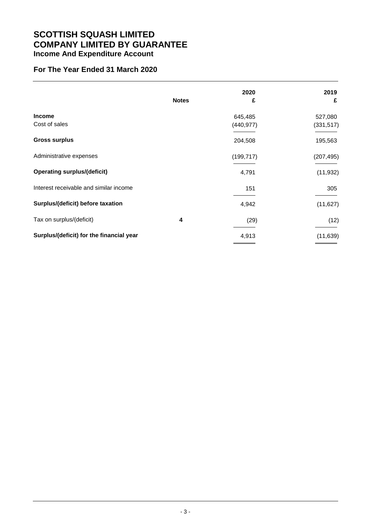# **SCOTTISH SQUASH LIMITED COMPANY LIMITED BY GUARANTEE Income And Expenditure Account**

### **For The Year Ended 31 March 2020**

|                                          | <b>Notes</b> | 2020<br>£             | 2019<br>£             |
|------------------------------------------|--------------|-----------------------|-----------------------|
| <b>Income</b><br>Cost of sales           |              | 645,485<br>(440, 977) | 527,080<br>(331, 517) |
| <b>Gross surplus</b>                     |              | 204,508               | 195,563               |
| Administrative expenses                  |              | (199, 717)            | (207, 495)            |
| <b>Operating surplus/(deficit)</b>       |              | 4,791                 | (11, 932)             |
| Interest receivable and similar income   |              | 151                   | 305                   |
| Surplus/(deficit) before taxation        |              | 4,942                 | (11, 627)             |
| Tax on surplus/(deficit)                 | 4            | (29)                  | (12)                  |
| Surplus/(deficit) for the financial year |              | 4,913                 | (11, 639)             |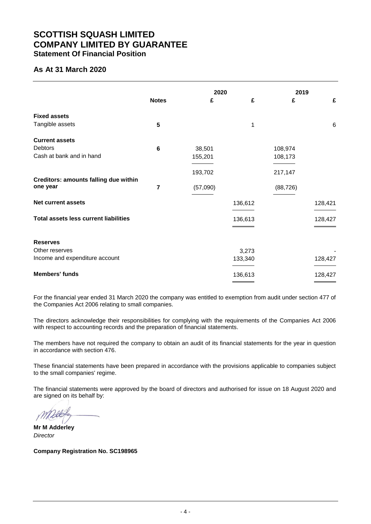### **SCOTTISH SQUASH LIMITED COMPANY LIMITED BY GUARANTEE Statement Of Financial Position**

### **As At 31 March 2020**

|                                              | <b>Notes</b> | 2020<br>£ | £       | 2019<br>£ | £       |
|----------------------------------------------|--------------|-----------|---------|-----------|---------|
|                                              |              |           |         |           |         |
| <b>Fixed assets</b>                          |              |           |         |           |         |
| Tangible assets                              | 5            |           | 1       |           | 6       |
| <b>Current assets</b>                        |              |           |         |           |         |
| <b>Debtors</b>                               | 6            | 38,501    |         | 108,974   |         |
| Cash at bank and in hand                     |              | 155,201   |         | 108,173   |         |
|                                              |              | 193,702   |         | 217,147   |         |
| Creditors: amounts falling due within        |              |           |         |           |         |
| one year                                     | 7            | (57,090)  |         | (88, 726) |         |
| <b>Net current assets</b>                    |              |           | 136,612 |           | 128,421 |
| <b>Total assets less current liabilities</b> |              |           | 136,613 |           | 128,427 |
|                                              |              |           |         |           |         |
| <b>Reserves</b>                              |              |           |         |           |         |
| Other reserves                               |              |           | 3,273   |           |         |
| Income and expenditure account               |              |           | 133,340 |           | 128,427 |
| <b>Members' funds</b>                        |              |           | 136,613 |           | 128,427 |

For the financial year ended 31 March 2020 the company was entitled to exemption from audit under section 477 of the Companies Act 2006 relating to small companies.

The directors acknowledge their responsibilities for complying with the requirements of the Companies Act 2006 with respect to accounting records and the preparation of financial statements.

The members have not required the company to obtain an audit of its financial statements for the year in question in accordance with section 476.

These financial statements have been prepared in accordance with the provisions applicable to companies subject to the small companies' regime.

The financial statements were approved by the board of directors and authorised for issue on 18 August 2020 and are signed on its behalf by:

**Mr M Adderley** *Director*

**Company Registration No. SC198965**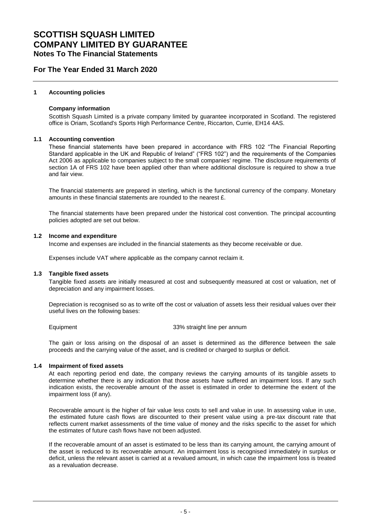### **For The Year Ended 31 March 2020**

#### **1 Accounting policies**

#### **Company information**

Scottish Squash Limited is a private company limited by guarantee incorporated in Scotland. The registered office is Oriam, Scotland's Sports High Performance Centre, Riccarton, Currie, EH14 4AS.

#### **1.1 Accounting convention**

These financial statements have been prepared in accordance with FRS 102 "The Financial Reporting Standard applicable in the UK and Republic of Ireland" ("FRS 102") and the requirements of the Companies Act 2006 as applicable to companies subject to the small companies' regime. The disclosure requirements of section 1A of FRS 102 have been applied other than where additional disclosure is required to show a true and fair view.

The financial statements are prepared in sterling, which is the functional currency of the company. Monetary amounts in these financial statements are rounded to the nearest £.

The financial statements have been prepared under the historical cost convention. The principal accounting policies adopted are set out below.

#### **1.2 Income and expenditure**

Income and expenses are included in the financial statements as they become receivable or due.

Expenses include VAT where applicable as the company cannot reclaim it.

#### **1.3 Tangible fixed assets**

Tangible fixed assets are initially measured at cost and subsequently measured at cost or valuation, net of depreciation and any impairment losses.

Depreciation is recognised so as to write off the cost or valuation of assets less their residual values over their useful lives on the following bases:

Equipment 33% straight line per annum

The gain or loss arising on the disposal of an asset is determined as the difference between the sale proceeds and the carrying value of the asset, and is credited or charged to surplus or deficit.

#### **1.4 Impairment of fixed assets**

At each reporting period end date, the company reviews the carrying amounts of its tangible assets to determine whether there is any indication that those assets have suffered an impairment loss. If any such indication exists, the recoverable amount of the asset is estimated in order to determine the extent of the impairment loss (if any).

Recoverable amount is the higher of fair value less costs to sell and value in use. In assessing value in use, the estimated future cash flows are discounted to their present value using a pre-tax discount rate that reflects current market assessments of the time value of money and the risks specific to the asset for which the estimates of future cash flows have not been adjusted.

If the recoverable amount of an asset is estimated to be less than its carrying amount, the carrying amount of the asset is reduced to its recoverable amount. An impairment loss is recognised immediately in surplus or deficit, unless the relevant asset is carried at a revalued amount, in which case the impairment loss is treated as a revaluation decrease.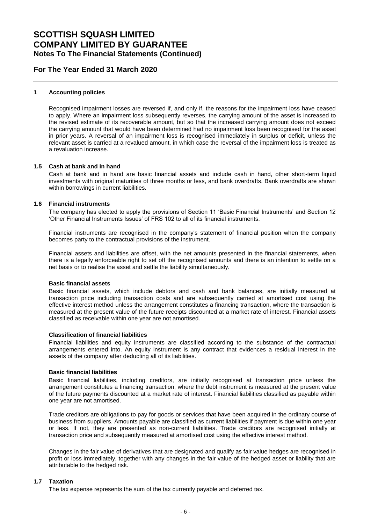### **For The Year Ended 31 March 2020**

#### **1 Accounting policies**

Recognised impairment losses are reversed if, and only if, the reasons for the impairment loss have ceased to apply. Where an impairment loss subsequently reverses, the carrying amount of the asset is increased to the revised estimate of its recoverable amount, but so that the increased carrying amount does not exceed the carrying amount that would have been determined had no impairment loss been recognised for the asset in prior years. A reversal of an impairment loss is recognised immediately in surplus or deficit, unless the relevant asset is carried at a revalued amount, in which case the reversal of the impairment loss is treated as a revaluation increase.

#### **1.5 Cash at bank and in hand**

Cash at bank and in hand are basic financial assets and include cash in hand, other short-term liquid investments with original maturities of three months or less, and bank overdrafts. Bank overdrafts are shown within borrowings in current liabilities.

#### **1.6 Financial instruments**

The company has elected to apply the provisions of Section 11 'Basic Financial Instruments' and Section 12 'Other Financial Instruments Issues' of FRS 102 to all of its financial instruments.

Financial instruments are recognised in the company's statement of financial position when the company becomes party to the contractual provisions of the instrument.

Financial assets and liabilities are offset, with the net amounts presented in the financial statements, when there is a legally enforceable right to set off the recognised amounts and there is an intention to settle on a net basis or to realise the asset and settle the liability simultaneously.

#### **Basic financial assets**

Basic financial assets, which include debtors and cash and bank balances, are initially measured at transaction price including transaction costs and are subsequently carried at amortised cost using the effective interest method unless the arrangement constitutes a financing transaction, where the transaction is measured at the present value of the future receipts discounted at a market rate of interest. Financial assets classified as receivable within one year are not amortised.

#### **Classification of financial liabilities**

Financial liabilities and equity instruments are classified according to the substance of the contractual arrangements entered into. An equity instrument is any contract that evidences a residual interest in the assets of the company after deducting all of its liabilities.

#### **Basic financial liabilities**

Basic financial liabilities, including creditors, are initially recognised at transaction price unless the arrangement constitutes a financing transaction, where the debt instrument is measured at the present value of the future payments discounted at a market rate of interest. Financial liabilities classified as payable within one year are not amortised.

Trade creditors are obligations to pay for goods or services that have been acquired in the ordinary course of business from suppliers. Amounts payable are classified as current liabilities if payment is due within one year or less. If not, they are presented as non-current liabilities. Trade creditors are recognised initially at transaction price and subsequently measured at amortised cost using the effective interest method.

Changes in the fair value of derivatives that are designated and qualify as fair value hedges are recognised in profit or loss immediately, together with any changes in the fair value of the hedged asset or liability that are attributable to the hedged risk.

#### **1.7 Taxation**

The tax expense represents the sum of the tax currently payable and deferred tax.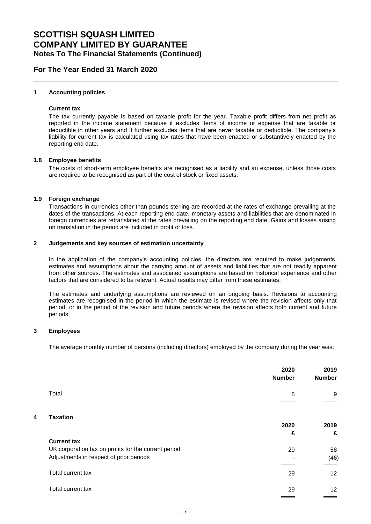### **For The Year Ended 31 March 2020**

#### **1 Accounting policies**

#### **Current tax**

The tax currently payable is based on taxable profit for the year. Taxable profit differs from net profit as reported in the income statement because it excludes items of income or expense that are taxable or deductible in other years and it further excludes items that are never taxable or deductible. The company's liability for current tax is calculated using tax rates that have been enacted or substantively enacted by the reporting end date.

#### **1.8 Employee benefits**

The costs of short-term employee benefits are recognised as a liability and an expense, unless those costs are required to be recognised as part of the cost of stock or fixed assets.

#### **1.9 Foreign exchange**

Transactions in currencies other than pounds sterling are recorded at the rates of exchange prevailing at the dates of the transactions. At each reporting end date, monetary assets and liabilities that are denominated in foreign currencies are retranslated at the rates prevailing on the reporting end date. Gains and losses arising on translation in the period are included in profit or loss.

#### **2 Judgements and key sources of estimation uncertainty**

In the application of the company's accounting policies, the directors are required to make judgements, estimates and assumptions about the carrying amount of assets and liabilities that are not readily apparent from other sources. The estimates and associated assumptions are based on historical experience and other factors that are considered to be relevant. Actual results may differ from these estimates.

The estimates and underlying assumptions are reviewed on an ongoing basis. Revisions to accounting estimates are recognised in the period in which the estimate is revised where the revision affects only that period, or in the period of the revision and future periods where the revision affects both current and future periods.

#### **3 Employees**

The average monthly number of persons (including directors) employed by the company during the year was:

|   |                                                                                                 | 2020<br><b>Number</b> | 2019<br><b>Number</b> |
|---|-------------------------------------------------------------------------------------------------|-----------------------|-----------------------|
|   | Total                                                                                           | 8                     | 9                     |
| 4 | <b>Taxation</b>                                                                                 | 2020                  | 2019                  |
|   | <b>Current tax</b>                                                                              | £                     | £                     |
|   |                                                                                                 |                       |                       |
|   | UK corporation tax on profits for the current period<br>Adjustments in respect of prior periods | 29                    | 58<br>(46)            |
|   | Total current tax                                                                               | 29                    | 12                    |
|   | Total current tax                                                                               | 29                    | 12                    |
|   |                                                                                                 |                       |                       |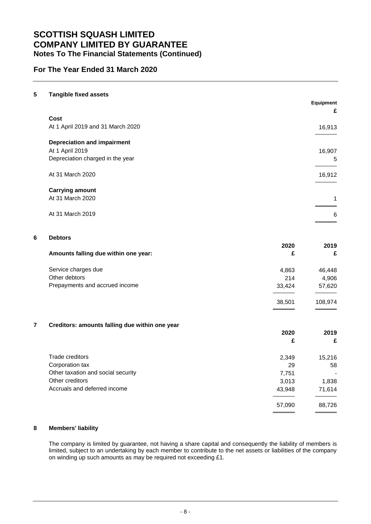### **For The Year Ended 31 March 2020**

| 5 | <b>Tangible fixed assets</b>              |           | Equipment |
|---|-------------------------------------------|-----------|-----------|
|   |                                           |           | £         |
|   | Cost<br>At 1 April 2019 and 31 March 2020 |           | 16,913    |
|   | <b>Depreciation and impairment</b>        |           |           |
|   | At 1 April 2019                           |           | 16,907    |
|   | Depreciation charged in the year          |           | 5         |
|   | At 31 March 2020                          |           | 16,912    |
|   | <b>Carrying amount</b>                    |           |           |
|   | At 31 March 2020                          |           | 1         |
|   | At 31 March 2019                          |           | 6         |
| 6 | <b>Debtors</b>                            |           |           |
|   | Amounts falling due within one year:      | 2020<br>£ | 2019<br>£ |
|   | Service charges due                       | 4,863     | 46,448    |
|   | Other debtors                             | 214       | 4,906     |
|   | Prepayments and accrued income            | 33,424    | 57,620    |
|   |                                           | 38,501    | 108,974   |

### **7 Creditors: amounts falling due within one year**

|                                    | 2020   | 2019   |
|------------------------------------|--------|--------|
|                                    | £      | £      |
| Trade creditors                    | 2,349  | 15,216 |
| Corporation tax                    | 29     | 58     |
| Other taxation and social security | 7,751  |        |
| Other creditors                    | 3,013  | 1,838  |
| Accruals and deferred income       | 43,948 | 71,614 |
|                                    | 57,090 | 88,726 |

### **8 Members' liability**

The company is limited by guarantee, not having a share capital and consequently the liability of members is limited, subject to an undertaking by each member to contribute to the net assets or liabilities of the company on winding up such amounts as may be required not exceeding £1.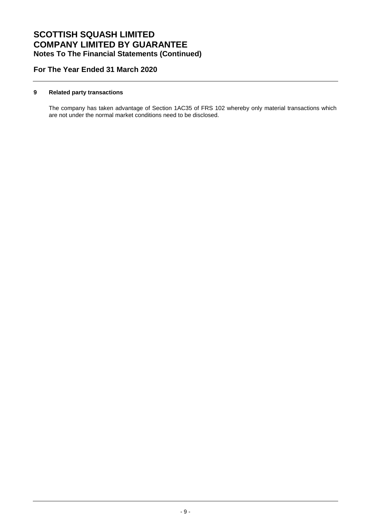### **For The Year Ended 31 March 2020**

#### **9 Related party transactions**

The company has taken advantage of Section 1AC35 of FRS 102 whereby only material transactions which are not under the normal market conditions need to be disclosed.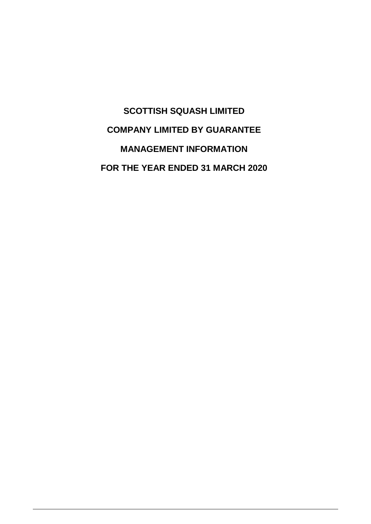**SCOTTISH SQUASH LIMITED COMPANY LIMITED BY GUARANTEE MANAGEMENT INFORMATION FOR THE YEAR ENDED 31 MARCH 2020**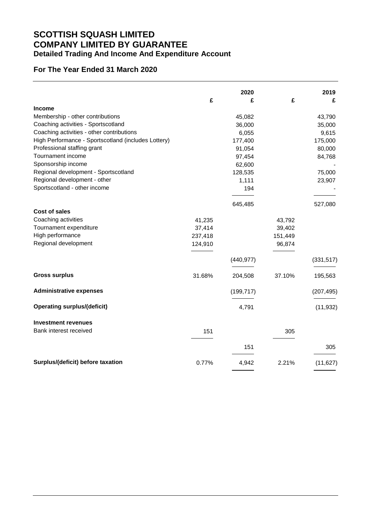# **SCOTTISH SQUASH LIMITED COMPANY LIMITED BY GUARANTEE Detailed Trading And Income And Expenditure Account**

### **For The Year Ended 31 March 2020**

|                                                     |         | 2020       |         | 2019       |
|-----------------------------------------------------|---------|------------|---------|------------|
|                                                     | £       | £          | £       | £          |
| <b>Income</b>                                       |         |            |         |            |
| Membership - other contributions                    |         | 45,082     |         | 43,790     |
| Coaching activities - Sportscotland                 |         | 36,000     |         | 35,000     |
| Coaching activities - other contributions           |         | 6,055      |         | 9,615      |
| High Performance - Sportscotland (includes Lottery) |         | 177,400    |         | 175,000    |
| Professional staffing grant                         |         | 91,054     |         | 80,000     |
| Tournament income                                   |         | 97,454     |         | 84,768     |
| Sponsorship income                                  |         | 62,600     |         |            |
| Regional development - Sportscotland                |         | 128,535    |         | 75,000     |
| Regional development - other                        |         | 1,111      |         | 23,907     |
| Sportscotland - other income                        |         | 194        |         |            |
|                                                     |         | 645,485    |         | 527,080    |
| <b>Cost of sales</b>                                |         |            |         |            |
| Coaching activities                                 | 41,235  |            | 43,792  |            |
| Tournament expenditure                              | 37,414  |            | 39,402  |            |
| High performance                                    | 237,418 |            | 151,449 |            |
| Regional development                                | 124,910 |            | 96,874  |            |
|                                                     |         | (440, 977) |         | (331, 517) |
| <b>Gross surplus</b>                                | 31.68%  | 204,508    | 37.10%  |            |
|                                                     |         |            |         | 195,563    |
| <b>Administrative expenses</b>                      |         | (199, 717) |         | (207, 495) |
| <b>Operating surplus/(deficit)</b>                  |         | 4,791      |         | (11, 932)  |
| <b>Investment revenues</b>                          |         |            |         |            |
| Bank interest received                              | 151     |            | 305     |            |
|                                                     |         | 151        |         | 305        |
| Surplus/(deficit) before taxation                   | 0.77%   | 4,942      | 2.21%   | (11, 627)  |
|                                                     |         |            |         |            |